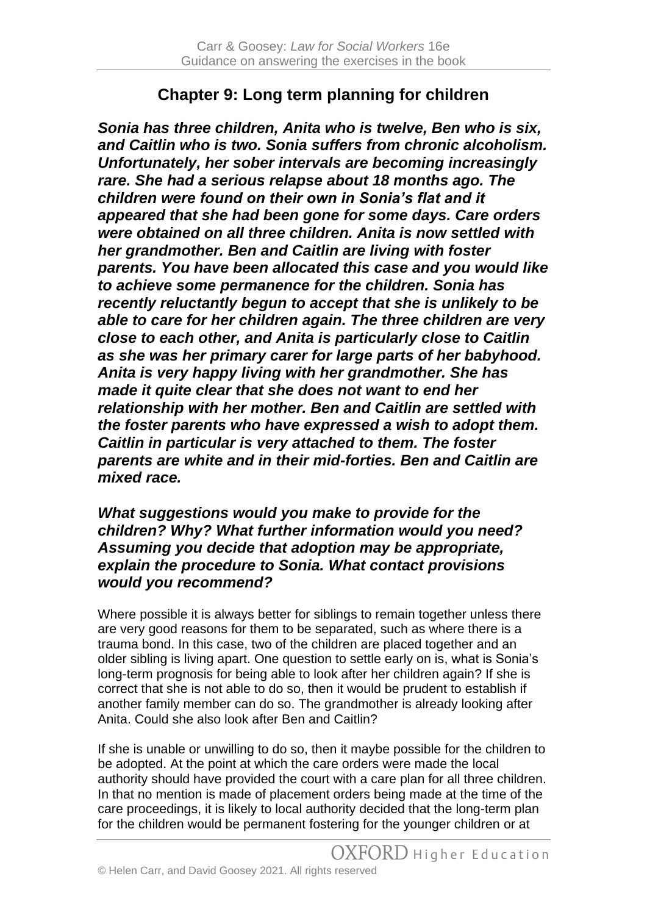## **Chapter 9: Long term planning for children**

*Sonia has three children, Anita who is twelve, Ben who is six, and Caitlin who is two. Sonia suffers from chronic alcoholism. Unfortunately, her sober intervals are becoming increasingly rare. She had a serious relapse about 18 months ago. The children were found on their own in Sonia's flat and it appeared that she had been gone for some days. Care orders were obtained on all three children. Anita is now settled with her grandmother. Ben and Caitlin are living with foster parents. You have been allocated this case and you would like to achieve some permanence for the children. Sonia has recently reluctantly begun to accept that she is unlikely to be able to care for her children again. The three children are very close to each other, and Anita is particularly close to Caitlin as she was her primary carer for large parts of her babyhood. Anita is very happy living with her grandmother. She has made it quite clear that she does not want to end her relationship with her mother. Ben and Caitlin are settled with the foster parents who have expressed a wish to adopt them. Caitlin in particular is very attached to them. The foster parents are white and in their mid-forties. Ben and Caitlin are mixed race.*

## *What suggestions would you make to provide for the children? Why? What further information would you need? Assuming you decide that adoption may be appropriate, explain the procedure to Sonia. What contact provisions would you recommend?*

Where possible it is always better for siblings to remain together unless there are very good reasons for them to be separated, such as where there is a trauma bond. In this case, two of the children are placed together and an older sibling is living apart. One question to settle early on is, what is Sonia's long-term prognosis for being able to look after her children again? If she is correct that she is not able to do so, then it would be prudent to establish if another family member can do so. The grandmother is already looking after Anita. Could she also look after Ben and Caitlin?

If she is unable or unwilling to do so, then it maybe possible for the children to be adopted. At the point at which the care orders were made the local authority should have provided the court with a care plan for all three children. In that no mention is made of placement orders being made at the time of the care proceedings, it is likely to local authority decided that the long-term plan for the children would be permanent fostering for the younger children or at